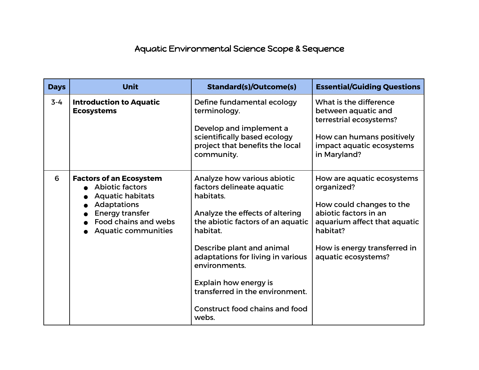## Aquatic Environmental Science Scope & Sequence

| <b>Days</b> | <b>Unit</b>                                                                                                                                                                        | <b>Standard(s)/Outcome(s)</b>                                                                                                                                                                                                                                                                                                                       | <b>Essential/Guiding Questions</b>                                                                                                                                                               |
|-------------|------------------------------------------------------------------------------------------------------------------------------------------------------------------------------------|-----------------------------------------------------------------------------------------------------------------------------------------------------------------------------------------------------------------------------------------------------------------------------------------------------------------------------------------------------|--------------------------------------------------------------------------------------------------------------------------------------------------------------------------------------------------|
| $3 - 4$     | <b>Introduction to Aquatic</b><br><b>Ecosystems</b>                                                                                                                                | Define fundamental ecology<br>terminology.<br>Develop and implement a<br>scientifically based ecology<br>project that benefits the local<br>community.                                                                                                                                                                                              | What is the difference<br>between aquatic and<br>terrestrial ecosystems?<br>How can humans positively<br>impact aquatic ecosystems<br>in Maryland?                                               |
| 6           | <b>Factors of an Ecosystem</b><br><b>Abiotic factors</b><br><b>Aquatic habitats</b><br>Adaptations<br><b>Energy transfer</b><br>Food chains and webs<br><b>Aquatic communities</b> | Analyze how various abiotic<br>factors delineate aquatic<br>habitats.<br>Analyze the effects of altering<br>the abiotic factors of an aquatic<br>habitat.<br>Describe plant and animal<br>adaptations for living in various<br>environments.<br>Explain how energy is<br>transferred in the environment.<br>Construct food chains and food<br>webs. | How are aquatic ecosystems<br>organized?<br>How could changes to the<br>abiotic factors in an<br>aquarium affect that aquatic<br>habitat?<br>How is energy transferred in<br>aquatic ecosystems? |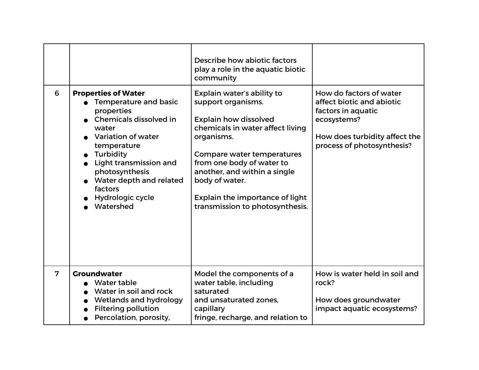|   |                                                                                                                                                                                                                                                                                  | Describe how abiotic factors<br>play a role in the aquatic biotic<br>community                                                                                                                                                                                                                                               |                                                                                                                                                          |
|---|----------------------------------------------------------------------------------------------------------------------------------------------------------------------------------------------------------------------------------------------------------------------------------|------------------------------------------------------------------------------------------------------------------------------------------------------------------------------------------------------------------------------------------------------------------------------------------------------------------------------|----------------------------------------------------------------------------------------------------------------------------------------------------------|
| 6 | <b>Properties of Water</b><br>Temperature and basic<br>properties<br>Chemicals dissolved in<br>water<br><b>Variation of water</b><br>temperature<br>Turbidity<br>Light transmission and<br>photosynthesis<br>Water depth and related<br>factors<br>Hydrologic cycle<br>Watershed | Explain water's ability to<br>support organisms.<br><b>Explain how dissolved</b><br>chemicals in water affect living<br>organisms.<br>Compare water temperatures<br>from one body of water to<br>another, and within a single<br>body of water.<br><b>Explain the importance of light</b><br>transmission to photosynthesis. | How do factors of water<br>affect biotic and abiotic<br>factors in aquatic<br>ecosystems?<br>How does turbidity affect the<br>process of photosynthesis? |
| 7 | <b>Groundwater</b><br>Water table<br>Water in soil and rock<br>Wetlands and hydrology<br><b>Filtering pollution</b><br>Percolation, porosity,                                                                                                                                    | Model the components of a<br>water table, including<br>saturated<br>and unsaturated zones.<br>capillary<br>fringe, recharge, and relation to                                                                                                                                                                                 | How is water held in soil and<br>rock?<br>How does groundwater<br>impact aquatic ecosystems?                                                             |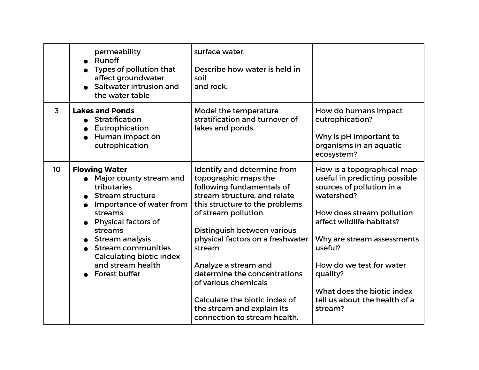|                | permeability<br>Runoff<br>Types of pollution that<br>affect groundwater<br>Saltwater intrusion and<br>the water table                                                                                                                                                                                              | surface water.<br>Describe how water is held in<br>soil<br>and rock.                                                                                                                                                                                                                                                                                                                                                                   |                                                                                                                                                                                                                                                                                                                             |
|----------------|--------------------------------------------------------------------------------------------------------------------------------------------------------------------------------------------------------------------------------------------------------------------------------------------------------------------|----------------------------------------------------------------------------------------------------------------------------------------------------------------------------------------------------------------------------------------------------------------------------------------------------------------------------------------------------------------------------------------------------------------------------------------|-----------------------------------------------------------------------------------------------------------------------------------------------------------------------------------------------------------------------------------------------------------------------------------------------------------------------------|
| $\overline{3}$ | <b>Lakes and Ponds</b><br>Stratification<br>Eutrophication<br>Human impact on<br>eutrophication                                                                                                                                                                                                                    | Model the temperature<br>stratification and turnover of<br>lakes and ponds.                                                                                                                                                                                                                                                                                                                                                            | How do humans impact<br>eutrophication?<br>Why is pH important to<br>organisms in an aquatic<br>ecosystem?                                                                                                                                                                                                                  |
| 10             | <b>Flowing Water</b><br>• Major county stream and<br>tributaries<br><b>Stream structure</b><br>Importance of water from<br>streams<br><b>Physical factors of</b><br>streams<br><b>Stream analysis</b><br><b>Stream communities</b><br><b>Calculating biotic index</b><br>and stream health<br><b>Forest buffer</b> | Identify and determine from<br>topographic maps the<br>following fundamentals of<br>stream structure, and relate<br>this structure to the problems<br>of stream pollution.<br>Distinguish between various<br>physical factors on a freshwater<br>stream<br>Analyze a stream and<br>determine the concentrations<br>of various chemicals<br>Calculate the biotic index of<br>the stream and explain its<br>connection to stream health. | How is a topographical map<br>useful in predicting possible<br>sources of pollution in a<br>watershed?<br>How does stream pollution<br>affect wildlife habitats?<br>Why are stream assessments<br>useful?<br>How do we test for water<br>quality?<br>What does the biotic index<br>tell us about the health of a<br>stream? |